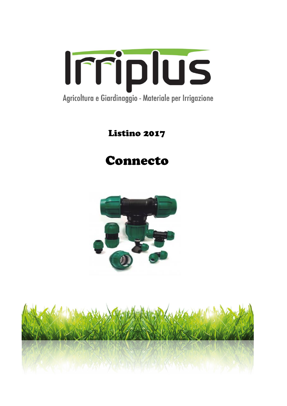

## Listino 2017

# Connecto



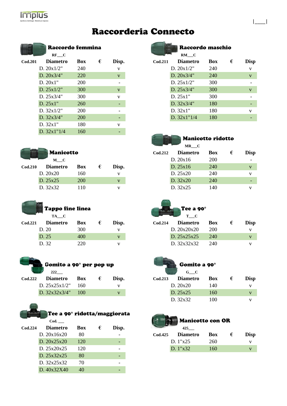

## Raccorderia Connecto

|                    | Raccordo femmina |            |   |       |                       | Raccordo maschio |            |   |      |
|--------------------|------------------|------------|---|-------|-----------------------|------------------|------------|---|------|
|                    | $RF$ $C$         |            |   |       |                       | RM C             |            |   |      |
| $\mathrm{Cod.}201$ | <b>Diametro</b>  | <b>Box</b> | € | Disp. | Cod.211               | <b>Diametro</b>  | <b>Box</b> | € | Disp |
|                    | D. $20x1/2$ "    | 240        |   | V     |                       | D. $20x1/2$ "    | 240        |   | V    |
|                    | D. $20x3/4"$     | <b>220</b> |   | V     |                       | D. 20x3/4"       | 240        |   | V    |
|                    | D. 20x1"         | 200        |   |       |                       | D. $25x1/2"$     | 300        |   |      |
|                    | D. 25x1/2"       | 300        |   | V     |                       | D. 25x3/4"       | 300        |   | V    |
|                    | D. 25x3/4"       | 300        |   | V     |                       | D. 25x1"         | 300        |   |      |
|                    | D. 25x1"         | <b>260</b> |   |       |                       | D. 32x3/4"       | 180        |   |      |
|                    | D. $32x1/2"$     | 200        |   |       |                       | D. 32x1"         | 180        |   | V    |
|                    | D. 32x3/4"       | 200        |   |       |                       | D. $32x1''1/4$   | 180        |   |      |
|                    | D. 32x1"         | 180        |   | V     |                       |                  |            |   |      |
|                    | D. 32x1"1/4      | 160        |   | ٠     |                       |                  |            |   |      |
|                    |                  |            |   |       | <b>Selling Common</b> |                  |            |   |      |



| TA C            |            |                         |       |                    | T C             |                                           |                                      |      |
|-----------------|------------|-------------------------|-------|--------------------|-----------------|-------------------------------------------|--------------------------------------|------|
| <b>Diametro</b> | <b>Box</b> | €                       | Disp. | $\mathrm{Cod.214}$ | <b>Diametro</b> | <b>Box</b>                                |                                      | Disp |
| D.20            | 300        |                         |       |                    |                 | 200                                       |                                      | V    |
| D. 25           | 400        |                         | v     |                    |                 | 240                                       |                                      | v    |
| D. 32           | 220        |                         |       |                    |                 | 240                                       |                                      | v    |
|                 |            | <b>Tappo fine linea</b> |       |                    |                 | D. 20x20x20<br>D. 25x25x25<br>D. 32x32x32 | $\blacktriangle$ Tee a 90 $^{\circ}$ |      |



## Gomito a 90° per pop up Gomito a 90° **222\_\_\_ G\_\_\_C**

| Cod.222 Diametro Box |        | Disp. |
|----------------------|--------|-------|
| D. 25x25x1/2"        | - 160  |       |
| D. $32x32x3/4"$      | $-100$ |       |



| Raccordo femmina<br>$RF$ $C$ |            |   |       |         | Raccordo maschio<br>$RM$ $C$ |            |   |              |  |  |
|------------------------------|------------|---|-------|---------|------------------------------|------------|---|--------------|--|--|
| <b>Diametro</b>              | <b>Box</b> | € | Disp. | Cod.211 | <b>Diametro</b>              | Box        | € | <b>Disp</b>  |  |  |
| D. 20x1/2"                   | 240        |   | V     |         | D. $20x1/2$ "                | 240        |   | V            |  |  |
| D. 20x3/4"                   | <b>220</b> |   | V     |         | D. 20x3/4"                   | 240        |   | $\mathbf{V}$ |  |  |
| D. 20x1"                     | 200        |   |       |         | D. $25x1/2"$                 | 300        |   |              |  |  |
| D. 25x1/2"                   | 300        |   | V     |         | D. 25x3/4"                   | <b>300</b> |   | $\mathbf{V}$ |  |  |
| D. 25x3/4"                   | 300        |   | V     |         | D. 25x1"                     | 300        |   |              |  |  |
| D. 25x1"                     | 260        |   |       |         | D. $32x3/4"$                 | 180        |   |              |  |  |
| D. 32x1/2"                   | 200        |   |       |         | D. 32x1"                     | 180        |   | V            |  |  |
| D. 32x3/4"                   | 200        |   |       |         | D. $32x1''1/4$               | 180        |   |              |  |  |

|\_\_\_\_|

### Manicotto ridotto

|                  |            |            |                    | MR C            |            |   |                          |
|------------------|------------|------------|--------------------|-----------------|------------|---|--------------------------|
| <b>Manicotto</b> |            |            | $\mathrm{Cod.212}$ | <b>Diametro</b> | Box        | € | <b>Disp</b>              |
| $M$ $C$          |            |            |                    | D. 20x16        | <b>200</b> |   | $\overline{\phantom{a}}$ |
| <b>Diametro</b>  | <b>Box</b> | Disp.<br>€ |                    | D. 25x16        | 240        |   | V                        |
| D. 20x20         | 160        | v          |                    | D. 25x20        | 240        |   | v                        |
| D. 25x25         | <b>200</b> | v          |                    | D. 32x20        | 240        |   | $\overline{\phantom{0}}$ |
| D. 32x32         | 110        |            |                    | D. 32x25        | 140        |   | v                        |
|                  |            |            |                    |                 |            |   |                          |



| <b>Diametro</b> | Box | € | Disp. | $\mathrm{Cod.214}$ | <b>Diametro</b><br><b>Box</b> | <b>Disp</b> |
|-----------------|-----|---|-------|--------------------|-------------------------------|-------------|
| D. 20           | 300 |   |       | D. 20x20x20        | 200                           |             |
| D. 25           | 400 |   |       | D. 25x25x25        | - 240                         |             |
| D. 32           | 220 |   |       | D. 32x32x32        | -240                          |             |
|                 |     |   |       |                    |                               |             |



|                    | ----                |            |            |       |                    | $\sim$ $\sim$   |            |   |             |
|--------------------|---------------------|------------|------------|-------|--------------------|-----------------|------------|---|-------------|
| $\mathrm{Cod.222}$ | <b>Diametro</b>     | <b>Box</b> | $\epsilon$ | Disp. | $\mathrm{Cod.213}$ | <b>Diametro</b> | <b>Box</b> | € | <b>Disp</b> |
|                    | D. $25x25x1/2"$ 160 |            |            |       |                    | D. 20x20        | 140        |   |             |
|                    | D. $32x32x3/4"$ 100 |            |            |       |                    | D. 25x25        | 160        |   |             |
|                    |                     |            |            |       |                    | D. 32x32        | 100        |   |             |



|                | 425             |            |   |             |
|----------------|-----------------|------------|---|-------------|
| <b>Cod.425</b> | <b>Diametro</b> | <b>Box</b> | € | <b>Disp</b> |
|                | D. $1"x25$      | 260        |   |             |
|                | D. 1"x32'       | 160        |   |             |